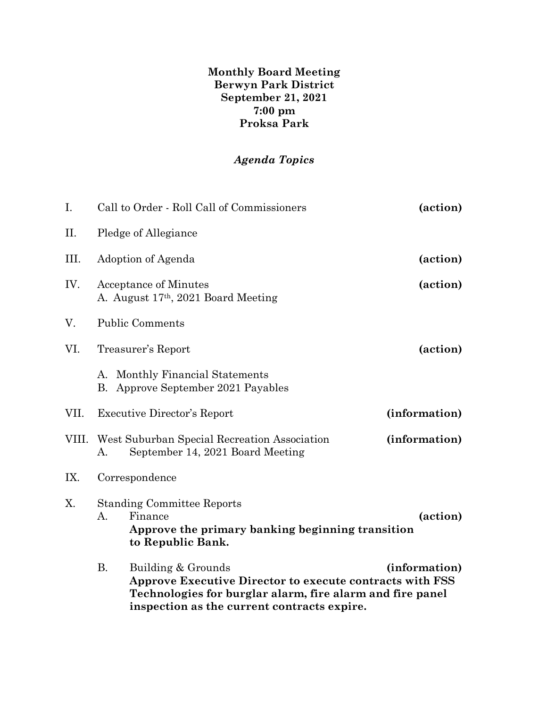**Monthly Board Meeting Berwyn Park District September 21, 2021 7:00 pm Proksa Park**

## *Agenda Topics*

| Ι.    | Call to Order - Roll Call of Commissioners<br>(action) |                                                                                                                                                                                            |               |  |  |
|-------|--------------------------------------------------------|--------------------------------------------------------------------------------------------------------------------------------------------------------------------------------------------|---------------|--|--|
| П.    |                                                        | Pledge of Allegiance                                                                                                                                                                       |               |  |  |
| III.  |                                                        | Adoption of Agenda                                                                                                                                                                         | (action)      |  |  |
| IV.   |                                                        | Acceptance of Minutes<br>A. August 17 <sup>th</sup> , 2021 Board Meeting                                                                                                                   | (action)      |  |  |
| V.    | <b>Public Comments</b>                                 |                                                                                                                                                                                            |               |  |  |
| VI.   | (action)<br>Treasurer's Report                         |                                                                                                                                                                                            |               |  |  |
|       |                                                        | A. Monthly Financial Statements<br>B. Approve September 2021 Payables                                                                                                                      |               |  |  |
| VII.  | <b>Executive Director's Report</b><br>(information)    |                                                                                                                                                                                            |               |  |  |
| VIII. | А.                                                     | West Suburban Special Recreation Association<br>September 14, 2021 Board Meeting                                                                                                           | (information) |  |  |
| IX.   | Correspondence                                         |                                                                                                                                                                                            |               |  |  |
| X.    | $\mathsf{A}$ .                                         | <b>Standing Committee Reports</b><br>Finance<br>Approve the primary banking beginning transition<br>to Republic Bank.                                                                      | (action)      |  |  |
|       | <b>B.</b>                                              | Building & Grounds<br>Approve Executive Director to execute contracts with FSS<br>Technologies for burglar alarm, fire alarm and fire panel<br>inspection as the current contracts expire. | (information) |  |  |